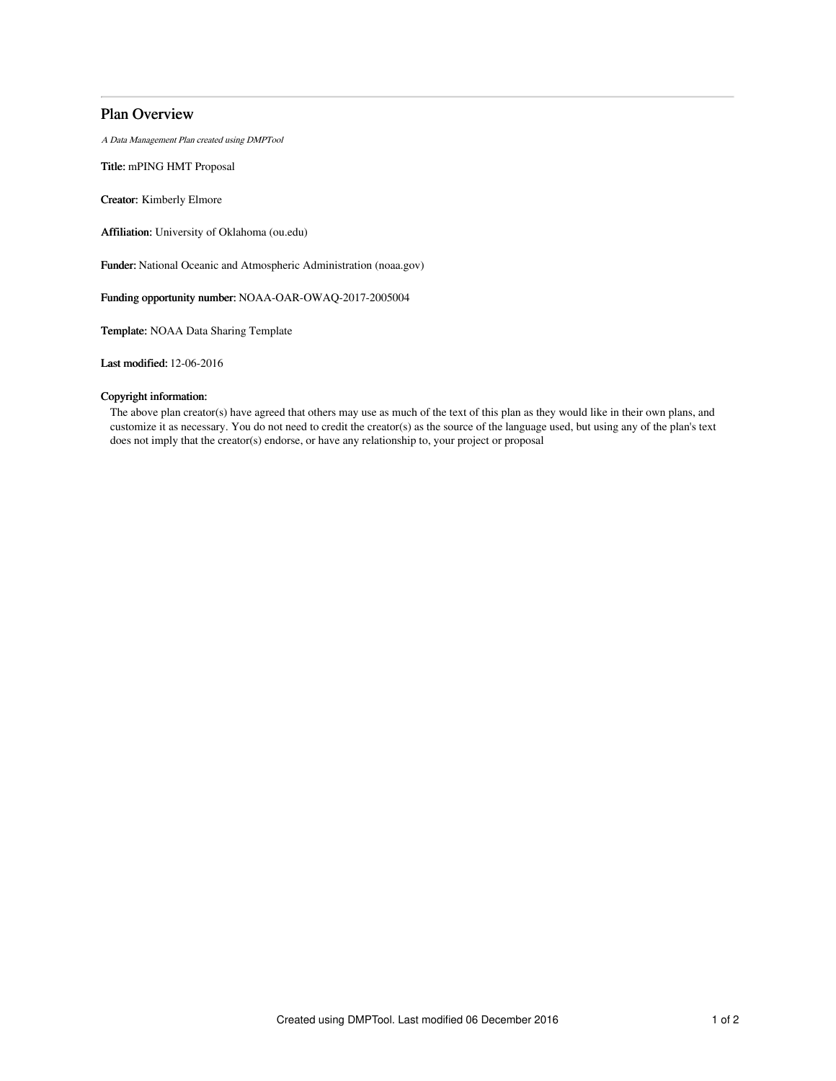# Plan Overview

A Data Management Plan created using DMPTool

Title: mPING HMT Proposal

Creator: Kimberly Elmore

Affiliation: University of Oklahoma (ou.edu)

Funder: National Oceanic and Atmospheric Administration (noaa.gov)

Funding opportunity number: NOAA-OAR-OWAQ-2017-2005004

Template: NOAA Data Sharing Template

Last modified: 12-06-2016

# Copyright information:

The above plan creator(s) have agreed that others may use as much of the text of this plan as they would like in their own plans, and customize it as necessary. You do not need to credit the creator(s) as the source of the language used, but using any of the plan's text does not imply that the creator(s) endorse, or have any relationship to, your project or proposal